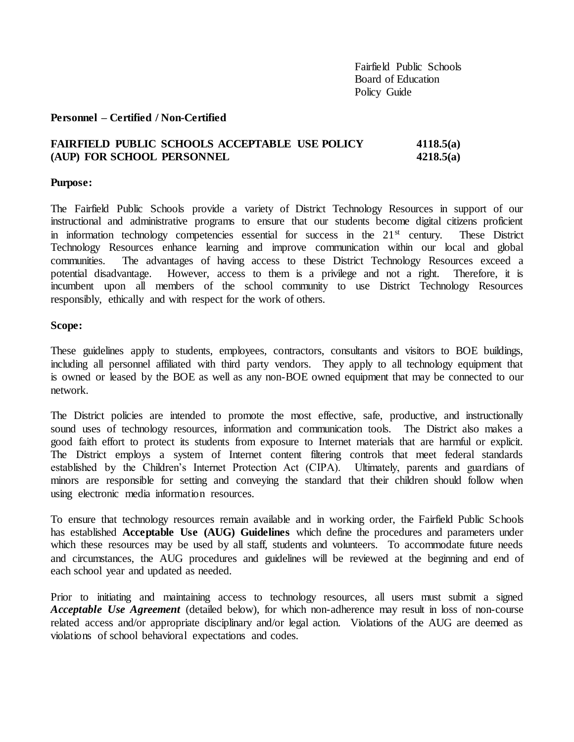#### **Personnel – Certified / Non-Certified**

# **FAIRFIELD PUBLIC SCHOOLS ACCEPTABLE USE POLICY 4118.5(a) (AUP) FOR SCHOOL PERSONNEL 4218.5(a)**

#### **Purpose:**

The Fairfield Public Schools provide a variety of District Technology Resources in support of our instructional and administrative programs to ensure that our students become digital citizens proficient in information technology competencies essential for success in the 21<sup>st</sup> century. These District Technology Resources enhance learning and improve communication within our local and global communities. The advantages of having access to these District Technology Resources exceed a potential disadvantage. However, access to them is a privilege and not a right. Therefore, it is incumbent upon all members of the school community to use District Technology Resources responsibly, ethically and with respect for the work of others.

#### **Scope:**

These guidelines apply to students, employees, contractors, consultants and visitors to BOE buildings, including all personnel affiliated with third party vendors. They apply to all technology equipment that is owned or leased by the BOE as well as any non-BOE owned equipment that may be connected to our network.

The District policies are intended to promote the most effective, safe, productive, and instructionally sound uses of technology resources, information and communication tools. The District also makes a good faith effort to protect its students from exposure to Internet materials that are harmful or explicit. The District employs a system of Internet content filtering controls that meet federal standards established by the Children's Internet Protection Act (CIPA). Ultimately, parents and guardians of minors are responsible for setting and conveying the standard that their children should follow when using electronic media information resources.

To ensure that technology resources remain available and in working order, the Fairfield Public Schools has established **Acceptable Use (AUG) Guidelines** which define the procedures and parameters under which these resources may be used by all staff, students and volunteers. To accommodate future needs and circumstances, the AUG procedures and guidelines will be reviewed at the beginning and end of each school year and updated as needed.

Prior to initiating and maintaining access to technology resources, all users must submit a signed *Acceptable Use Agreement* (detailed below), for which non-adherence may result in loss of non-course related access and/or appropriate disciplinary and/or legal action. Violations of the AUG are deemed as violations of school behavioral expectations and codes.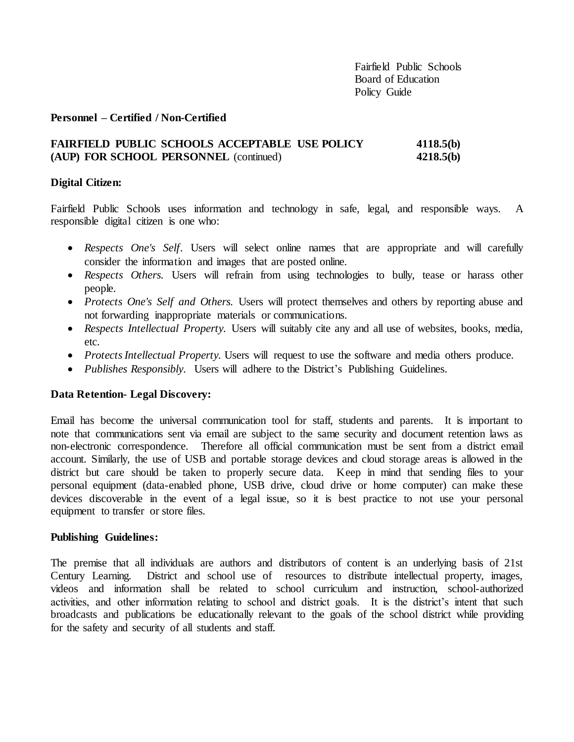### **Personnel – Certified / Non-Certified**

## **FAIRFIELD PUBLIC SCHOOLS ACCEPTABLE USE POLICY 4118.5(b) (AUP) FOR SCHOOL PERSONNEL** (continued) **4218.5(b)**

### **Digital Citizen:**

Fairfield Public Schools uses information and technology in safe, legal, and responsible ways. A responsible digital citizen is one who:

- *Respects One's Self*. Users will select online names that are appropriate and will carefully consider the information and images that are posted online.
- *Respects Others.* Users will refrain from using technologies to bully, tease or harass other people.
- *Protects One's Self and Others.* Users will protect themselves and others by reporting abuse and not forwarding inappropriate materials or communications.
- *Respects Intellectual Property.* Users will suitably cite any and all use of websites, books, media, etc.
- *Protects Intellectual Property.* Users will request to use the software and media others produce.
- *Publishes Responsibly.* Users will adhere to the District's Publishing Guidelines.

### **Data Retention- Legal Discovery:**

Email has become the universal communication tool for staff, students and parents. It is important to note that communications sent via email are subject to the same security and document retention laws as non-electronic correspondence. Therefore all official communication must be sent from a district email account. Similarly, the use of USB and portable storage devices and cloud storage areas is allowed in the district but care should be taken to properly secure data. Keep in mind that sending files to your personal equipment (data-enabled phone, USB drive, cloud drive or home computer) can make these devices discoverable in the event of a legal issue, so it is best practice to not use your personal equipment to transfer or store files.

### **Publishing Guidelines:**

The premise that all individuals are authors and distributors of content is an underlying basis of 21st Century Learning. District and school use of resources to distribute intellectual property, images, videos and information shall be related to school curriculum and instruction, school-authorized activities, and other information relating to school and district goals. It is the district's intent that such broadcasts and publications be educationally relevant to the goals of the school district while providing for the safety and security of all students and staff.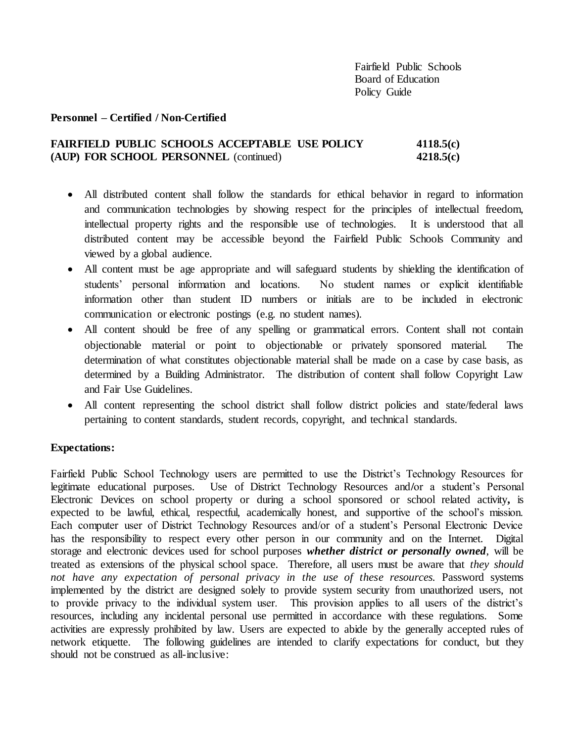### **Personnel – Certified / Non-Certified**

# **FAIRFIELD PUBLIC SCHOOLS ACCEPTABLE USE POLICY 4118.5(c) (AUP) FOR SCHOOL PERSONNEL** (continued) **4218.5(c)**

- All distributed content shall follow the standards for ethical behavior in regard to information and communication technologies by showing respect for the principles of intellectual freedom, intellectual property rights and the responsible use of technologies. It is understood that all distributed content may be accessible beyond the Fairfield Public Schools Community and viewed by a global audience.
- All content must be age appropriate and will safeguard students by shielding the identification of students' personal information and locations. No student names or explicit identifiable information other than student ID numbers or initials are to be included in electronic communication or electronic postings (e.g. no student names).
- All content should be free of any spelling or grammatical errors. Content shall not contain objectionable material or point to objectionable or privately sponsored material. The determination of what constitutes objectionable material shall be made on a case by case basis, as determined by a Building Administrator. The distribution of content shall follow Copyright Law and Fair Use Guidelines.
- All content representing the school district shall follow district policies and state/federal laws pertaining to content standards, student records, copyright, and technical standards.

### **Expectations:**

Fairfield Public School Technology users are permitted to use the District's Technology Resources for legitimate educational purposes. Use of District Technology Resources and**/**or a student's Personal Electronic Devices on school property or during a school sponsored or school related activity**,** is expected to be lawful, ethical, respectful, academically honest, and supportive of the school's mission. Each computer user of District Technology Resources and/or of a student's Personal Electronic Device has the responsibility to respect every other person in our community and on the Internet. Digital storage and electronic devices used for school purposes *whether district or personally owned*, will be treated as extensions of the physical school space. Therefore, all users must be aware that *they should*  not have any expectation of personal privacy in the use of these resources. Password systems implemented by the district are designed solely to provide system security from unauthorized users, not to provide privacy to the individual system user. This provision applies to all users of the district's resources, including any incidental personal use permitted in accordance with these regulations. Some activities are expressly prohibited by law. Users are expected to abide by the generally accepted rules of network etiquette. The following guidelines are intended to clarify expectations for conduct, but they should not be construed as all-inclusive: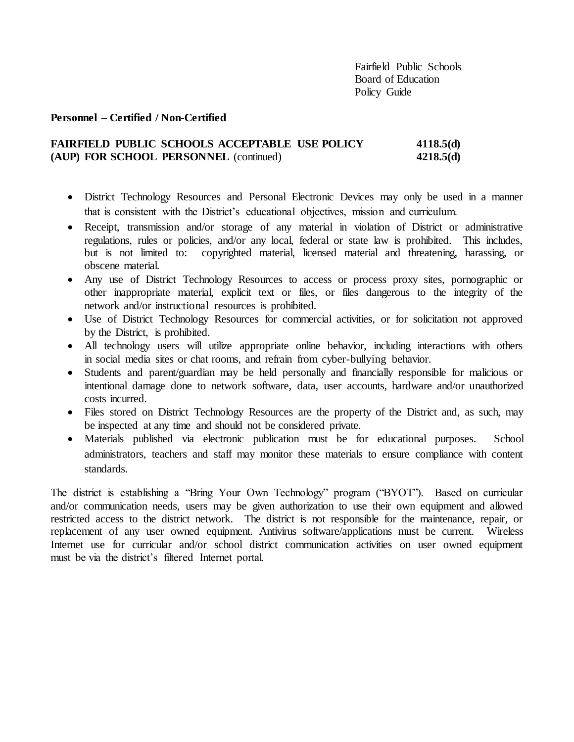### **Personnel – Certified / Non-Certified**

# **FAIRFIELD PUBLIC SCHOOLS ACCEPTABLE USE POLICY 4118.5(d) (AUP) FOR SCHOOL PERSONNEL** (continued) **4218.5(d)**

- District Technology Resources and Personal Electronic Devices may only be used in a manner that is consistent with the District's educational objectives, mission and curriculum.
- Receipt, transmission and/or storage of any material in violation of District or administrative regulations, rules or policies, and/or any local, federal or state law is prohibited. This includes, but is not limited to: copyrighted material, licensed material and threatening, harassing, or obscene material.
- Any use of District Technology Resources to access or process proxy sites, pornographic or other inappropriate material, explicit text or files, or files dangerous to the integrity of the network and/or instructional resources is prohibited.
- Use of District Technology Resources for commercial activities, or for solicitation not approved by the District, is prohibited.
- All technology users will utilize appropriate online behavior, including interactions with others in social media sites or chat rooms, and refrain from cyber-bullying behavior.
- Students and parent/guardian may be held personally and financially responsible for malicious or intentional damage done to network software, data, user accounts, hardware and/or unauthorized costs incurred.
- Files stored on District Technology Resources are the property of the District and, as such, may be inspected at any time and should not be considered private.
- Materials published via electronic publication must be for educational purposes. School administrators, teachers and staff may monitor these materials to ensure compliance with content standards.

The district is establishing a "Bring Your Own Technology" program ("BYOT"). Based on curricular and/or communication needs, users may be given authorization to use their own equipment and allowed restricted access to the district network. The district is not responsible for the maintenance, repair, or replacement of any user owned equipment. Antivirus software/applications must be current. Wireless Internet use for curricular and/or school district communication activities on user owned equipment must be via the district's filtered Internet portal.